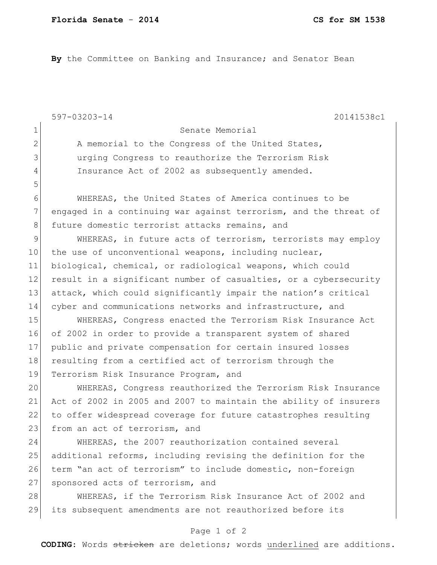1 Senate Memorial

**By** the Committee on Banking and Insurance; and Senator Bean

597-03203-14 20141538c1

5

2 A memorial to the Congress of the United States, 3 urging Congress to reauthorize the Terrorism Risk 4 Insurance Act of 2002 as subsequently amended.

6 WHEREAS, the United States of America continues to be 7 engaged in a continuing war against terrorism, and the threat of 8 future domestic terrorist attacks remains, and

9 WHEREAS, in future acts of terrorism, terrorists may employ 10 the use of unconventional weapons, including nuclear, 11 biological, chemical, or radiological weapons, which could 12 result in a significant number of casualties, or a cybersecurity 13 attack, which could significantly impair the nation's critical 14 cyber and communications networks and infrastructure, and

15 WHEREAS, Congress enacted the Terrorism Risk Insurance Act 16 of 2002 in order to provide a transparent system of shared 17 public and private compensation for certain insured losses 18 resulting from a certified act of terrorism through the 19 Terrorism Risk Insurance Program, and

 WHEREAS, Congress reauthorized the Terrorism Risk Insurance Act of 2002 in 2005 and 2007 to maintain the ability of insurers to offer widespread coverage for future catastrophes resulting 23 from an act of terrorism, and

24 WHEREAS, the 2007 reauthorization contained several 25 additional reforms, including revising the definition for the 26 term "an act of terrorism" to include domestic, non-foreign 27 sponsored acts of terrorism, and

28 WHEREAS, if the Terrorism Risk Insurance Act of 2002 and 29 its subsequent amendments are not reauthorized before its

## Page 1 of 2

**CODING**: Words stricken are deletions; words underlined are additions.